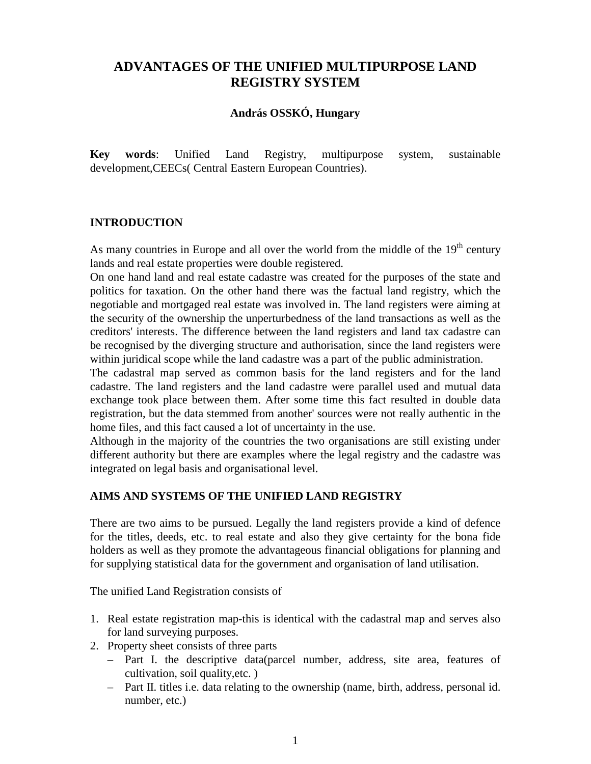# **ADVANTAGES OF THE UNIFIED MULTIPURPOSE LAND REGISTRY SYSTEM**

### **András OSSKÓ, Hungary**

**Key words**: Unified Land Registry, multipurpose system, sustainable development,CEECs( Central Eastern European Countries).

#### **INTRODUCTION**

As many countries in Europe and all over the world from the middle of the  $19<sup>th</sup>$  century lands and real estate properties were double registered.

On one hand land and real estate cadastre was created for the purposes of the state and politics for taxation. On the other hand there was the factual land registry, which the negotiable and mortgaged real estate was involved in. The land registers were aiming at the security of the ownership the unperturbedness of the land transactions as well as the creditors' interests. The difference between the land registers and land tax cadastre can be recognised by the diverging structure and authorisation, since the land registers were within juridical scope while the land cadastre was a part of the public administration.

The cadastral map served as common basis for the land registers and for the land cadastre. The land registers and the land cadastre were parallel used and mutual data exchange took place between them. After some time this fact resulted in double data registration, but the data stemmed from another' sources were not really authentic in the home files, and this fact caused a lot of uncertainty in the use.

Although in the majority of the countries the two organisations are still existing under different authority but there are examples where the legal registry and the cadastre was integrated on legal basis and organisational level.

### **AIMS AND SYSTEMS OF THE UNIFIED LAND REGISTRY**

There are two aims to be pursued. Legally the land registers provide a kind of defence for the titles, deeds, etc. to real estate and also they give certainty for the bona fide holders as well as they promote the advantageous financial obligations for planning and for supplying statistical data for the government and organisation of land utilisation.

The unified Land Registration consists of

- 1. Real estate registration map-this is identical with the cadastral map and serves also for land surveying purposes.
- 2. Property sheet consists of three parts
	- Part I. the descriptive data(parcel number, address, site area, features of cultivation, soil quality,etc. )
	- Part II. titles i.e. data relating to the ownership (name, birth, address, personal id. number, etc.)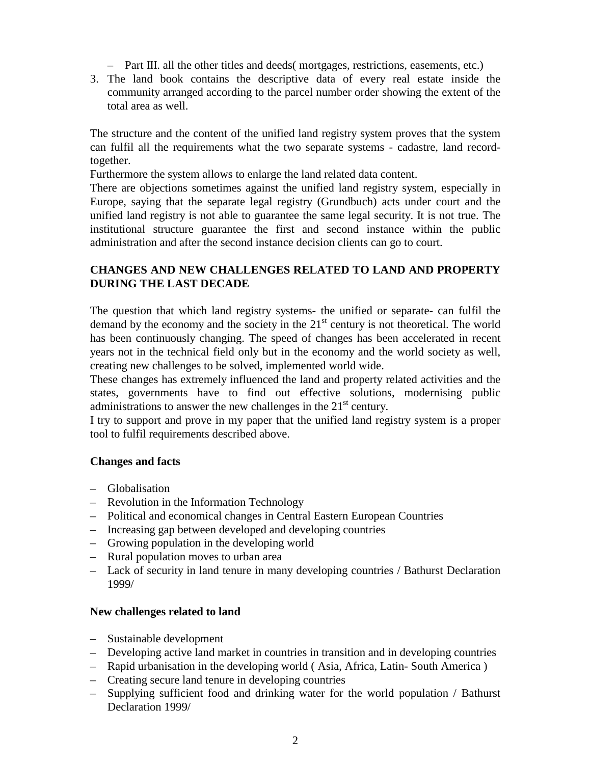- Part III. all the other titles and deeds( mortgages, restrictions, easements, etc.)
- 3. The land book contains the descriptive data of every real estate inside the community arranged according to the parcel number order showing the extent of the total area as well.

The structure and the content of the unified land registry system proves that the system can fulfil all the requirements what the two separate systems - cadastre, land recordtogether.

Furthermore the system allows to enlarge the land related data content.

There are objections sometimes against the unified land registry system, especially in Europe, saying that the separate legal registry (Grundbuch) acts under court and the unified land registry is not able to guarantee the same legal security. It is not true. The institutional structure guarantee the first and second instance within the public administration and after the second instance decision clients can go to court.

# **CHANGES AND NEW CHALLENGES RELATED TO LAND AND PROPERTY DURING THE LAST DECADE**

The question that which land registry systems- the unified or separate- can fulfil the demand by the economy and the society in the  $21<sup>st</sup>$  century is not theoretical. The world has been continuously changing. The speed of changes has been accelerated in recent years not in the technical field only but in the economy and the world society as well, creating new challenges to be solved, implemented world wide.

These changes has extremely influenced the land and property related activities and the states, governments have to find out effective solutions, modernising public administrations to answer the new challenges in the  $21<sup>st</sup>$  century.

I try to support and prove in my paper that the unified land registry system is a proper tool to fulfil requirements described above.

### **Changes and facts**

- Globalisation
- Revolution in the Information Technology
- Political and economical changes in Central Eastern European Countries
- Increasing gap between developed and developing countries
- Growing population in the developing world
- Rural population moves to urban area
- Lack of security in land tenure in many developing countries / Bathurst Declaration 1999/

#### **New challenges related to land**

- Sustainable development
- Developing active land market in countries in transition and in developing countries
- Rapid urbanisation in the developing world ( Asia, Africa, Latin- South America )
- Creating secure land tenure in developing countries
- Supplying sufficient food and drinking water for the world population / Bathurst Declaration 1999/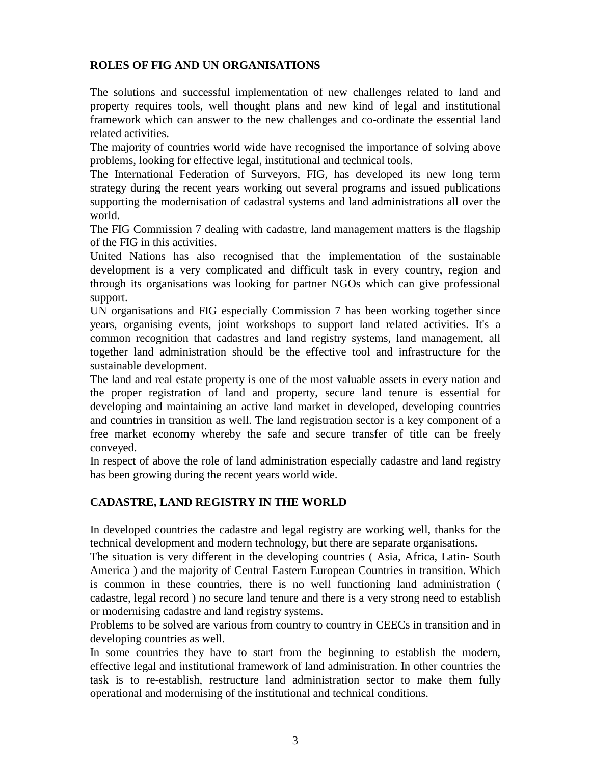### **ROLES OF FIG AND UN ORGANISATIONS**

The solutions and successful implementation of new challenges related to land and property requires tools, well thought plans and new kind of legal and institutional framework which can answer to the new challenges and co-ordinate the essential land related activities.

The majority of countries world wide have recognised the importance of solving above problems, looking for effective legal, institutional and technical tools.

The International Federation of Surveyors, FIG, has developed its new long term strategy during the recent years working out several programs and issued publications supporting the modernisation of cadastral systems and land administrations all over the world.

The FIG Commission 7 dealing with cadastre, land management matters is the flagship of the FIG in this activities.

United Nations has also recognised that the implementation of the sustainable development is a very complicated and difficult task in every country, region and through its organisations was looking for partner NGOs which can give professional support.

UN organisations and FIG especially Commission 7 has been working together since years, organising events, joint workshops to support land related activities. It's a common recognition that cadastres and land registry systems, land management, all together land administration should be the effective tool and infrastructure for the sustainable development.

The land and real estate property is one of the most valuable assets in every nation and the proper registration of land and property, secure land tenure is essential for developing and maintaining an active land market in developed, developing countries and countries in transition as well. The land registration sector is a key component of a free market economy whereby the safe and secure transfer of title can be freely conveyed.

In respect of above the role of land administration especially cadastre and land registry has been growing during the recent years world wide.

# **CADASTRE, LAND REGISTRY IN THE WORLD**

In developed countries the cadastre and legal registry are working well, thanks for the technical development and modern technology, but there are separate organisations.

The situation is very different in the developing countries ( Asia, Africa, Latin- South America ) and the majority of Central Eastern European Countries in transition. Which is common in these countries, there is no well functioning land administration ( cadastre, legal record ) no secure land tenure and there is a very strong need to establish or modernising cadastre and land registry systems.

Problems to be solved are various from country to country in CEECs in transition and in developing countries as well.

In some countries they have to start from the beginning to establish the modern, effective legal and institutional framework of land administration. In other countries the task is to re-establish, restructure land administration sector to make them fully operational and modernising of the institutional and technical conditions.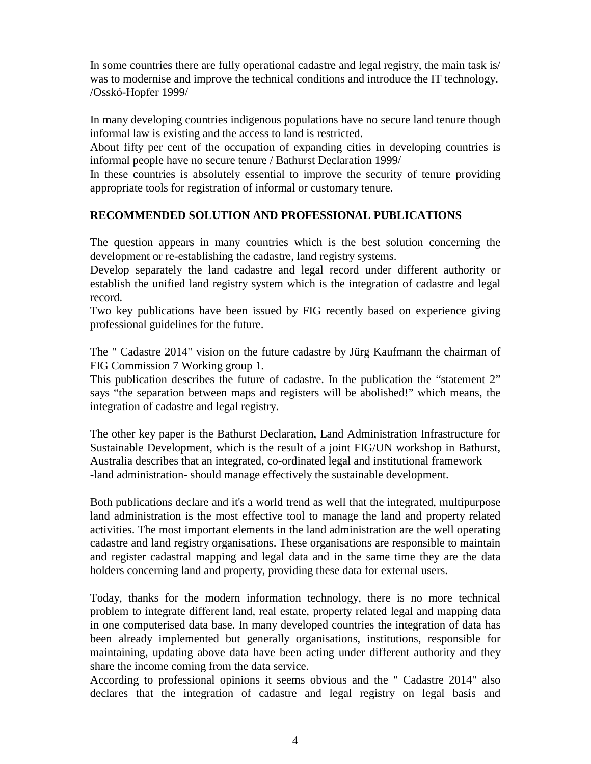In some countries there are fully operational cadastre and legal registry, the main task is/ was to modernise and improve the technical conditions and introduce the IT technology. /Osskó-Hopfer 1999/

In many developing countries indigenous populations have no secure land tenure though informal law is existing and the access to land is restricted.

About fifty per cent of the occupation of expanding cities in developing countries is informal people have no secure tenure / Bathurst Declaration 1999/

In these countries is absolutely essential to improve the security of tenure providing appropriate tools for registration of informal or customary tenure.

### **RECOMMENDED SOLUTION AND PROFESSIONAL PUBLICATIONS**

The question appears in many countries which is the best solution concerning the development or re-establishing the cadastre, land registry systems.

Develop separately the land cadastre and legal record under different authority or establish the unified land registry system which is the integration of cadastre and legal record.

Two key publications have been issued by FIG recently based on experience giving professional guidelines for the future.

The " Cadastre 2014" vision on the future cadastre by Jürg Kaufmann the chairman of FIG Commission 7 Working group 1.

This publication describes the future of cadastre. In the publication the "statement 2" says "the separation between maps and registers will be abolished!" which means, the integration of cadastre and legal registry.

The other key paper is the Bathurst Declaration, Land Administration Infrastructure for Sustainable Development, which is the result of a joint FIG/UN workshop in Bathurst, Australia describes that an integrated, co-ordinated legal and institutional framework -land administration- should manage effectively the sustainable development.

Both publications declare and it's a world trend as well that the integrated, multipurpose land administration is the most effective tool to manage the land and property related activities. The most important elements in the land administration are the well operating cadastre and land registry organisations. These organisations are responsible to maintain and register cadastral mapping and legal data and in the same time they are the data holders concerning land and property, providing these data for external users.

Today, thanks for the modern information technology, there is no more technical problem to integrate different land, real estate, property related legal and mapping data in one computerised data base. In many developed countries the integration of data has been already implemented but generally organisations, institutions, responsible for maintaining, updating above data have been acting under different authority and they share the income coming from the data service.

According to professional opinions it seems obvious and the " Cadastre 2014" also declares that the integration of cadastre and legal registry on legal basis and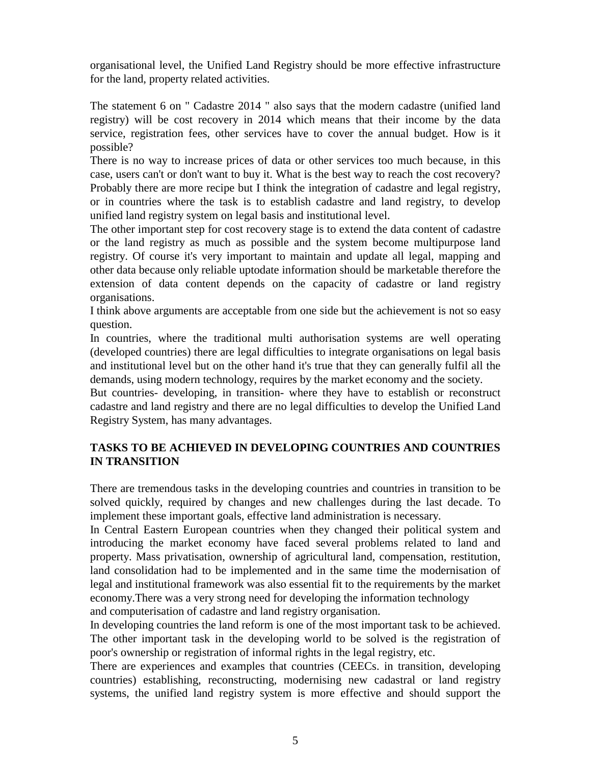organisational level, the Unified Land Registry should be more effective infrastructure for the land, property related activities.

The statement 6 on " Cadastre 2014 " also says that the modern cadastre (unified land registry) will be cost recovery in 2014 which means that their income by the data service, registration fees, other services have to cover the annual budget. How is it possible?

There is no way to increase prices of data or other services too much because, in this case, users can't or don't want to buy it. What is the best way to reach the cost recovery? Probably there are more recipe but I think the integration of cadastre and legal registry, or in countries where the task is to establish cadastre and land registry, to develop unified land registry system on legal basis and institutional level.

The other important step for cost recovery stage is to extend the data content of cadastre or the land registry as much as possible and the system become multipurpose land registry. Of course it's very important to maintain and update all legal, mapping and other data because only reliable uptodate information should be marketable therefore the extension of data content depends on the capacity of cadastre or land registry organisations.

I think above arguments are acceptable from one side but the achievement is not so easy question.

In countries, where the traditional multi authorisation systems are well operating (developed countries) there are legal difficulties to integrate organisations on legal basis and institutional level but on the other hand it's true that they can generally fulfil all the demands, using modern technology, requires by the market economy and the society.

But countries- developing, in transition- where they have to establish or reconstruct cadastre and land registry and there are no legal difficulties to develop the Unified Land Registry System, has many advantages.

# **TASKS TO BE ACHIEVED IN DEVELOPING COUNTRIES AND COUNTRIES IN TRANSITION**

There are tremendous tasks in the developing countries and countries in transition to be solved quickly, required by changes and new challenges during the last decade. To implement these important goals, effective land administration is necessary.

In Central Eastern European countries when they changed their political system and introducing the market economy have faced several problems related to land and property. Mass privatisation, ownership of agricultural land, compensation, restitution, land consolidation had to be implemented and in the same time the modernisation of legal and institutional framework was also essential fit to the requirements by the market economy.There was a very strong need for developing the information technology and computerisation of cadastre and land registry organisation.

In developing countries the land reform is one of the most important task to be achieved. The other important task in the developing world to be solved is the registration of poor's ownership or registration of informal rights in the legal registry, etc.

There are experiences and examples that countries (CEECs. in transition, developing countries) establishing, reconstructing, modernising new cadastral or land registry systems, the unified land registry system is more effective and should support the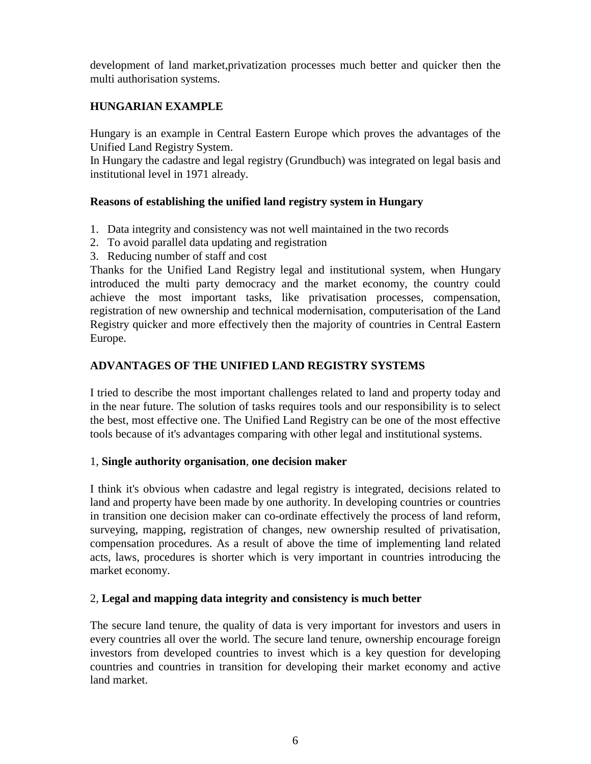development of land market,privatization processes much better and quicker then the multi authorisation systems.

# **HUNGARIAN EXAMPLE**

Hungary is an example in Central Eastern Europe which proves the advantages of the Unified Land Registry System.

In Hungary the cadastre and legal registry (Grundbuch) was integrated on legal basis and institutional level in 1971 already.

### **Reasons of establishing the unified land registry system in Hungary**

- 1. Data integrity and consistency was not well maintained in the two records
- 2. To avoid parallel data updating and registration
- 3. Reducing number of staff and cost

Thanks for the Unified Land Registry legal and institutional system, when Hungary introduced the multi party democracy and the market economy, the country could achieve the most important tasks, like privatisation processes, compensation, registration of new ownership and technical modernisation, computerisation of the Land Registry quicker and more effectively then the majority of countries in Central Eastern Europe.

### **ADVANTAGES OF THE UNIFIED LAND REGISTRY SYSTEMS**

I tried to describe the most important challenges related to land and property today and in the near future. The solution of tasks requires tools and our responsibility is to select the best, most effective one. The Unified Land Registry can be one of the most effective tools because of it's advantages comparing with other legal and institutional systems.

#### 1, **Single authority organisation**, **one decision maker**

I think it's obvious when cadastre and legal registry is integrated, decisions related to land and property have been made by one authority. In developing countries or countries in transition one decision maker can co-ordinate effectively the process of land reform, surveying, mapping, registration of changes, new ownership resulted of privatisation, compensation procedures. As a result of above the time of implementing land related acts, laws, procedures is shorter which is very important in countries introducing the market economy.

### 2, **Legal and mapping data integrity and consistency is much better**

The secure land tenure, the quality of data is very important for investors and users in every countries all over the world. The secure land tenure, ownership encourage foreign investors from developed countries to invest which is a key question for developing countries and countries in transition for developing their market economy and active land market.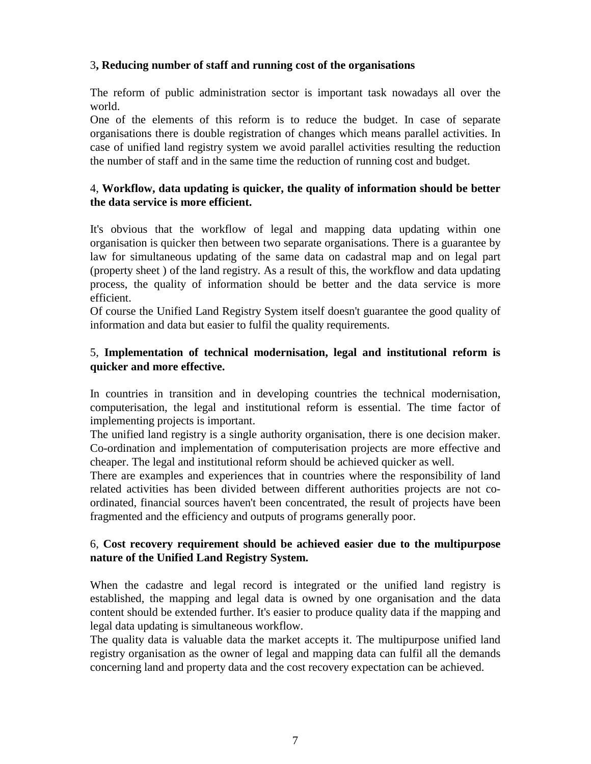### 3**, Reducing number of staff and running cost of the organisations**

The reform of public administration sector is important task nowadays all over the world.

One of the elements of this reform is to reduce the budget. In case of separate organisations there is double registration of changes which means parallel activities. In case of unified land registry system we avoid parallel activities resulting the reduction the number of staff and in the same time the reduction of running cost and budget.

### 4, **Workflow, data updating is quicker, the quality of information should be better the data service is more efficient.**

It's obvious that the workflow of legal and mapping data updating within one organisation is quicker then between two separate organisations. There is a guarantee by law for simultaneous updating of the same data on cadastral map and on legal part (property sheet ) of the land registry. As a result of this, the workflow and data updating process, the quality of information should be better and the data service is more efficient.

Of course the Unified Land Registry System itself doesn't guarantee the good quality of information and data but easier to fulfil the quality requirements.

### 5, **Implementation of technical modernisation, legal and institutional reform is quicker and more effective.**

In countries in transition and in developing countries the technical modernisation, computerisation, the legal and institutional reform is essential. The time factor of implementing projects is important.

The unified land registry is a single authority organisation, there is one decision maker. Co-ordination and implementation of computerisation projects are more effective and cheaper. The legal and institutional reform should be achieved quicker as well.

There are examples and experiences that in countries where the responsibility of land related activities has been divided between different authorities projects are not coordinated, financial sources haven't been concentrated, the result of projects have been fragmented and the efficiency and outputs of programs generally poor.

### 6, **Cost recovery requirement should be achieved easier due to the multipurpose nature of the Unified Land Registry System.**

When the cadastre and legal record is integrated or the unified land registry is established, the mapping and legal data is owned by one organisation and the data content should be extended further. It's easier to produce quality data if the mapping and legal data updating is simultaneous workflow.

The quality data is valuable data the market accepts it. The multipurpose unified land registry organisation as the owner of legal and mapping data can fulfil all the demands concerning land and property data and the cost recovery expectation can be achieved.